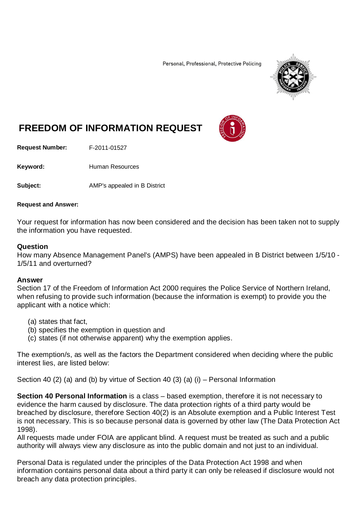Personal, Professional, Protective Policing



## **FREEDOM OF INFORMATION REQUEST**

**Request Number:** F-2011-01527

Keyword: Human Resources

**Subject:** AMP's appealed in B District

## **Request and Answer:**

Your request for information has now been considered and the decision has been taken not to supply the information you have requested.

## **Question**

How many Absence Management Panel's (AMPS) have been appealed in B District between 1/5/10 - 1/5/11 and overturned?

## **Answer**

Section 17 of the Freedom of Information Act 2000 requires the Police Service of Northern Ireland, when refusing to provide such information (because the information is exempt) to provide you the applicant with a notice which:

- (a) states that fact,
- (b) specifies the exemption in question and
- (c) states (if not otherwise apparent) why the exemption applies.

The exemption/s, as well as the factors the Department considered when deciding where the public interest lies, are listed below:

Section 40 (2) (a) and (b) by virtue of Section 40 (3) (a) (i) – Personal Information

**Section 40 Personal Information** is a class – based exemption, therefore it is not necessary to evidence the harm caused by disclosure. The data protection rights of a third party would be breached by disclosure, therefore Section 40(2) is an Absolute exemption and a Public Interest Test is not necessary. This is so because personal data is governed by other law (The Data Protection Act 1998).

All requests made under FOIA are applicant blind. A request must be treated as such and a public authority will always view any disclosure as into the public domain and not just to an individual.

Personal Data is regulated under the principles of the Data Protection Act 1998 and when information contains personal data about a third party it can only be released if disclosure would not breach any data protection principles.